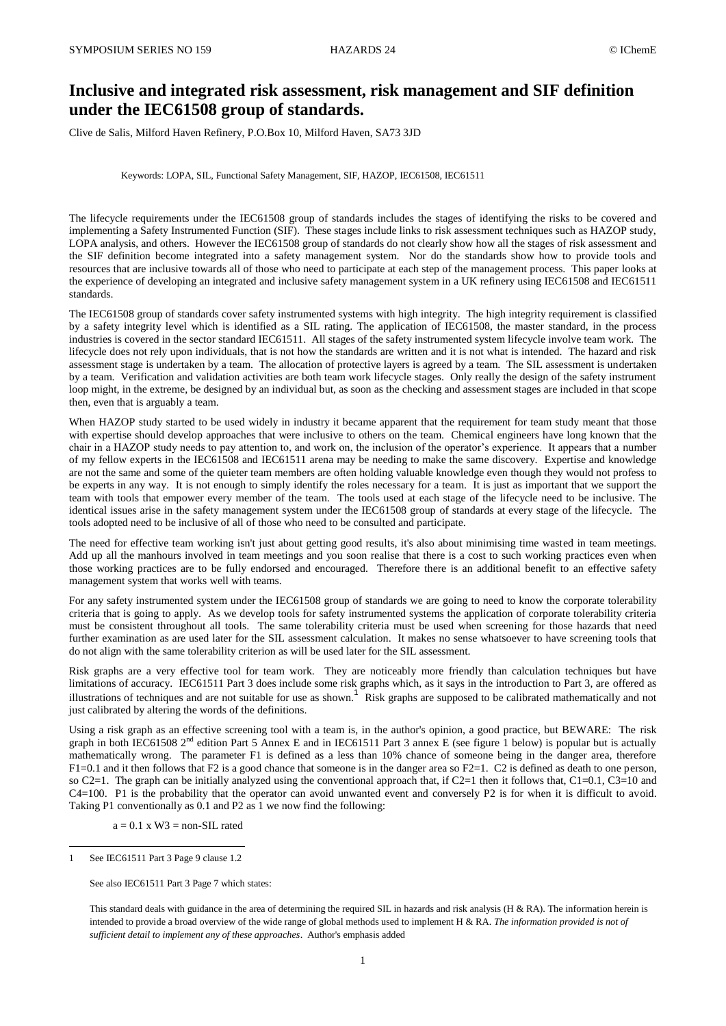# **Inclusive and integrated risk assessment, risk management and SIF definition under the IEC61508 group of standards.**

Clive de Salis, Milford Haven Refinery, P.O.Box 10, Milford Haven, SA73 3JD

### Keywords: LOPA, SIL, Functional Safety Management, SIF, HAZOP, IEC61508, IEC61511

The lifecycle requirements under the IEC61508 group of standards includes the stages of identifying the risks to be covered and implementing a Safety Instrumented Function (SIF). These stages include links to risk assessment techniques such as HAZOP study, LOPA analysis, and others. However the IEC61508 group of standards do not clearly show how all the stages of risk assessment and the SIF definition become integrated into a safety management system. Nor do the standards show how to provide tools and resources that are inclusive towards all of those who need to participate at each step of the management process. This paper looks at the experience of developing an integrated and inclusive safety management system in a UK refinery using IEC61508 and IEC61511 standards.

The IEC61508 group of standards cover safety instrumented systems with high integrity. The high integrity requirement is classified by a safety integrity level which is identified as a SIL rating. The application of IEC61508, the master standard, in the process industries is covered in the sector standard IEC61511. All stages of the safety instrumented system lifecycle involve team work. The lifecycle does not rely upon individuals, that is not how the standards are written and it is not what is intended. The hazard and risk assessment stage is undertaken by a team. The allocation of protective layers is agreed by a team. The SIL assessment is undertaken by a team. Verification and validation activities are both team work lifecycle stages. Only really the design of the safety instrument loop might, in the extreme, be designed by an individual but, as soon as the checking and assessment stages are included in that scope then, even that is arguably a team.

When HAZOP study started to be used widely in industry it became apparent that the requirement for team study meant that those with expertise should develop approaches that were inclusive to others on the team. Chemical engineers have long known that the chair in a HAZOP study needs to pay attention to, and work on, the inclusion of the operator's experience. It appears that a number of my fellow experts in the IEC61508 and IEC61511 arena may be needing to make the same discovery. Expertise and knowledge are not the same and some of the quieter team members are often holding valuable knowledge even though they would not profess to be experts in any way. It is not enough to simply identify the roles necessary for a team. It is just as important that we support the team with tools that empower every member of the team. The tools used at each stage of the lifecycle need to be inclusive. The identical issues arise in the safety management system under the IEC61508 group of standards at every stage of the lifecycle. The tools adopted need to be inclusive of all of those who need to be consulted and participate.

The need for effective team working isn't just about getting good results, it's also about minimising time wasted in team meetings. Add up all the manhours involved in team meetings and you soon realise that there is a cost to such working practices even when those working practices are to be fully endorsed and encouraged. Therefore there is an additional benefit to an effective safety management system that works well with teams.

For any safety instrumented system under the IEC61508 group of standards we are going to need to know the corporate tolerability criteria that is going to apply. As we develop tools for safety instrumented systems the application of corporate tolerability criteria must be consistent throughout all tools. The same tolerability criteria must be used when screening for those hazards that need further examination as are used later for the SIL assessment calculation. It makes no sense whatsoever to have screening tools that do not align with the same tolerability criterion as will be used later for the SIL assessment.

Risk graphs are a very effective tool for team work. They are noticeably more friendly than calculation techniques but have limitations of accuracy. IEC61511 Part 3 does include some risk graphs which, as it says in the introduction to Part 3, are offered as illustrations of techniques and are not suitable for use as shown.<sup>1</sup> Risk graphs are supposed to be calibrated mathematically and not just calibrated by altering the words of the definitions.

Using a risk graph as an effective screening tool with a team is, in the author's opinion, a good practice, but BEWARE: The risk graph in both IEC61508  $2^{nd}$  edition Part 5 Annex E and in IEC61511 Part 3 annex E (see figure 1 below) is popular but is actually mathematically wrong. The parameter F1 is defined as a less than 10% chance of someone being in the danger area, therefore  $F1=0.1$  and it then follows that F2 is a good chance that someone is in the danger area so F2=1. C2 is defined as death to one person, so C2=1. The graph can be initially analyzed using the conventional approach that, if C2=1 then it follows that, C1=0.1, C3=10 and C4=100. P1 is the probability that the operator can avoid unwanted event and conversely P2 is for when it is difficult to avoid. Taking P1 conventionally as 0.1 and P2 as 1 we now find the following:

 $a = 0.1$  x W3 = non-SIL rated

See IEC61511 Part 3 Page 9 clause 1.2

 $\overline{a}$ 

See also IEC61511 Part 3 Page 7 which states:

This standard deals with guidance in the area of determining the required SIL in hazards and risk analysis (H & RA). The information herein is intended to provide a broad overview of the wide range of global methods used to implement H & RA. *The information provided is not of sufficient detail to implement any of these approaches*. Author's emphasis added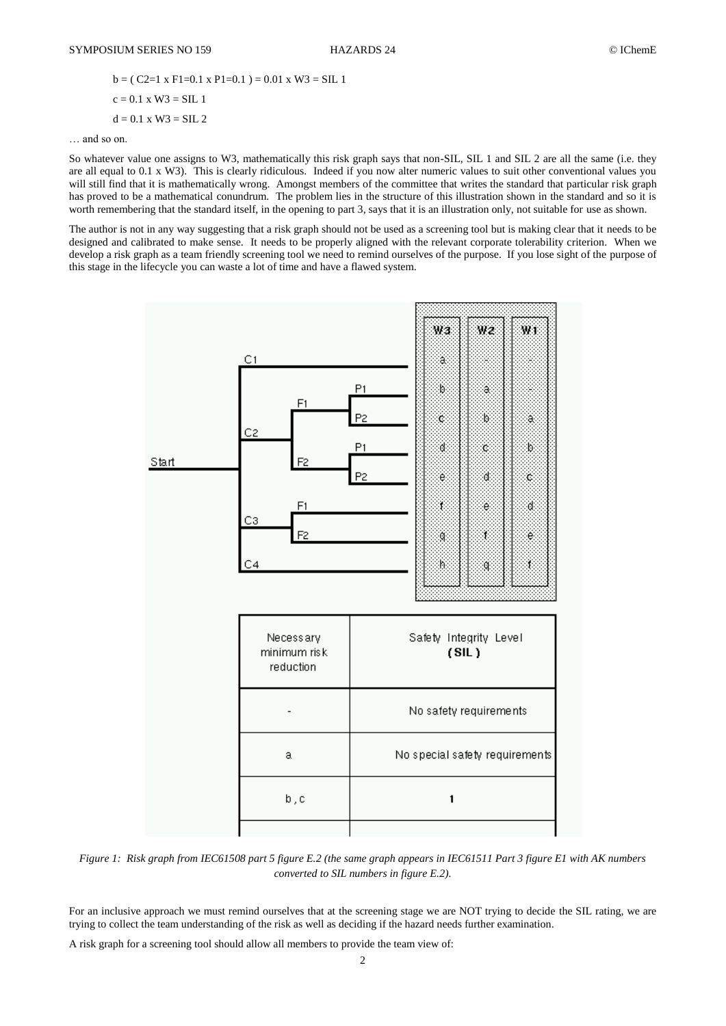$b = (C2=1 \times F1=0.1 \times P1=0.1) = 0.01 \times W3 = SL1$  $c = 0.1$  x W3 = SIL 1  $d = 0.1$  x W3 = SIL 2

… and so on.

So whatever value one assigns to W3, mathematically this risk graph says that non-SIL, SIL 1 and SIL 2 are all the same (i.e. they are all equal to 0.1 x W3). This is clearly ridiculous. Indeed if you now alter numeric values to suit other conventional values you will still find that it is mathematically wrong. Amongst members of the committee that writes the standard that particular risk graph has proved to be a mathematical conundrum. The problem lies in the structure of this illustration shown in the standard and so it is worth remembering that the standard itself, in the opening to part 3, says that it is an illustration only, not suitable for use as shown.

The author is not in any way suggesting that a risk graph should not be used as a screening tool but is making clear that it needs to be designed and calibrated to make sense. It needs to be properly aligned with the relevant corporate tolerability criterion. When we develop a risk graph as a team friendly screening tool we need to remind ourselves of the purpose. If you lose sight of the purpose of this stage in the lifecycle you can waste a lot of time and have a flawed system.



*Figure 1: Risk graph from IEC61508 part 5 figure E.2 (the same graph appears in IEC61511 Part 3 figure E1 with AK numbers converted to SIL numbers in figure E.2).*

For an inclusive approach we must remind ourselves that at the screening stage we are NOT trying to decide the SIL rating, we are trying to collect the team understanding of the risk as well as deciding if the hazard needs further examination.

A risk graph for a screening tool should allow all members to provide the team view of: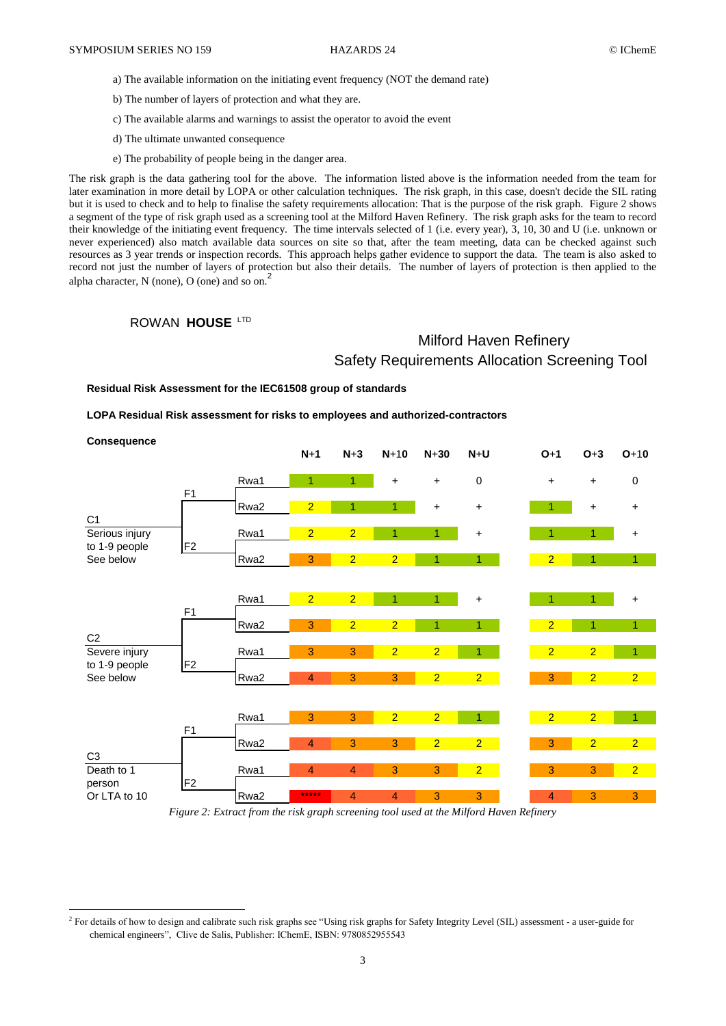- a) The available information on the initiating event frequency (NOT the demand rate)
- b) The number of layers of protection and what they are.
- c) The available alarms and warnings to assist the operator to avoid the event
- d) The ultimate unwanted consequence
- e) The probability of people being in the danger area.

The risk graph is the data gathering tool for the above. The information listed above is the information needed from the team for later examination in more detail by LOPA or other calculation techniques. The risk graph, in this case, doesn't decide the SIL rating but it is used to check and to help to finalise the safety requirements allocation: That is the purpose of the risk graph. Figure 2 shows a segment of the type of risk graph used as a screening tool at the Milford Haven Refinery. The risk graph asks for the team to record their knowledge of the initiating event frequency. The time intervals selected of 1 (i.e. every year), 3, 10, 30 and U (i.e. unknown or never experienced) also match available data sources on site so that, after the team meeting, data can be checked against such resources as 3 year trends or inspection records. This approach helps gather evidence to support the data. The team is also asked to record not just the number of layers of protection but also their details. The number of layers of protection is then applied to the alpha character,  $N$  (none),  $O$  (one) and so on.<sup>2</sup>

## ROWAN **HOUSE** LTD

1

# Milford Haven Refinery Safety Requirements Allocation Screening Tool

**Residual Risk Assessment for the IEC61508 group of standards**

**LOPA Residual Risk assessment for risks to employees and authorized-contractors**

| <b>Consequence</b>                                             |                                  |      | $N+1$                   | $N+3$          | $N+10$         | $N+30$         | $N+U$          | $O+1$          | $O+3$          | $O+10$         |
|----------------------------------------------------------------|----------------------------------|------|-------------------------|----------------|----------------|----------------|----------------|----------------|----------------|----------------|
| C <sub>1</sub><br>Serious injury<br>to 1-9 people<br>See below | F <sub>1</sub>                   | Rwa1 | 1                       | 1.             | $\ddot{}$      | $\ddot{}$      | $\pmb{0}$      | $\ddot{}$      | $\ddot{}$      | 0              |
|                                                                |                                  | Rwa2 | $\overline{2}$          | 1              | $\overline{1}$ | $\ddot{}$      | $\ddot{}$      |                | $\ddot{}$      | $\ddot{}$      |
|                                                                | F <sub>2</sub>                   | Rwa1 | $\overline{2}$          | $\overline{2}$ | 1              | 1              | $\ddot{}$      | 1              | 1              | $\bf{+}$       |
|                                                                |                                  | Rwa2 | $\mathbf{3}$            | $\overline{2}$ | $\overline{2}$ | 1              | 1              | $\overline{2}$ | 1              | $\mathbf{1}$   |
| C <sub>2</sub><br>Severe injury<br>to 1-9 people<br>See below  | F <sub>1</sub>                   | Rwa1 | $\overline{2}$          | $\overline{2}$ | 1              | $\mathbf{1}$   | $\ddot{}$      | 1              | 1              | +              |
|                                                                |                                  | Rwa2 | 3                       | $\overline{2}$ | $\overline{2}$ | 1              | $\overline{1}$ | $\overline{2}$ | 1              | $\overline{1}$ |
|                                                                | F <sub>2</sub>                   | Rwa1 | 3                       | 3              | $\overline{2}$ | $\overline{2}$ | 1              | $\overline{2}$ | $\overline{2}$ | 1              |
|                                                                |                                  | Rwa2 | $\overline{4}$          | 3              | 3              | $\overline{2}$ | $\overline{2}$ | 3              | $\overline{2}$ | 2 <sup>1</sup> |
| C <sub>3</sub><br>Death to 1<br>person                         | F <sub>1</sub><br>F <sub>2</sub> | Rwa1 | 3                       | 3              | $\overline{2}$ | $\overline{2}$ |                | $\overline{2}$ | $\overline{2}$ | 1              |
|                                                                |                                  | Rwa2 | $\overline{\mathbf{4}}$ | 3              | 3              | $\overline{2}$ | $\overline{2}$ | 3              | $\overline{2}$ | $\overline{2}$ |
|                                                                |                                  | Rwa1 | $\overline{4}$          | $\overline{4}$ | 3              | 3              | $\overline{2}$ | 3              | 3              | $\overline{2}$ |
| Or LTA to 10                                                   |                                  | Rwa2 | *****                   | 4              | $\overline{4}$ | 3              | 3              | 4              | 3              | 3              |

*Figure 2: Extract from the risk graph screening tool used at the Milford Haven Refinery*

 $^2$  For details of how to design and calibrate such risk graphs see "Using risk graphs for Safety Integrity Level (SIL) assessment - a user-guide for chemical engineers", Clive de Salis, Publisher: IChemE, ISBN: 9780852955543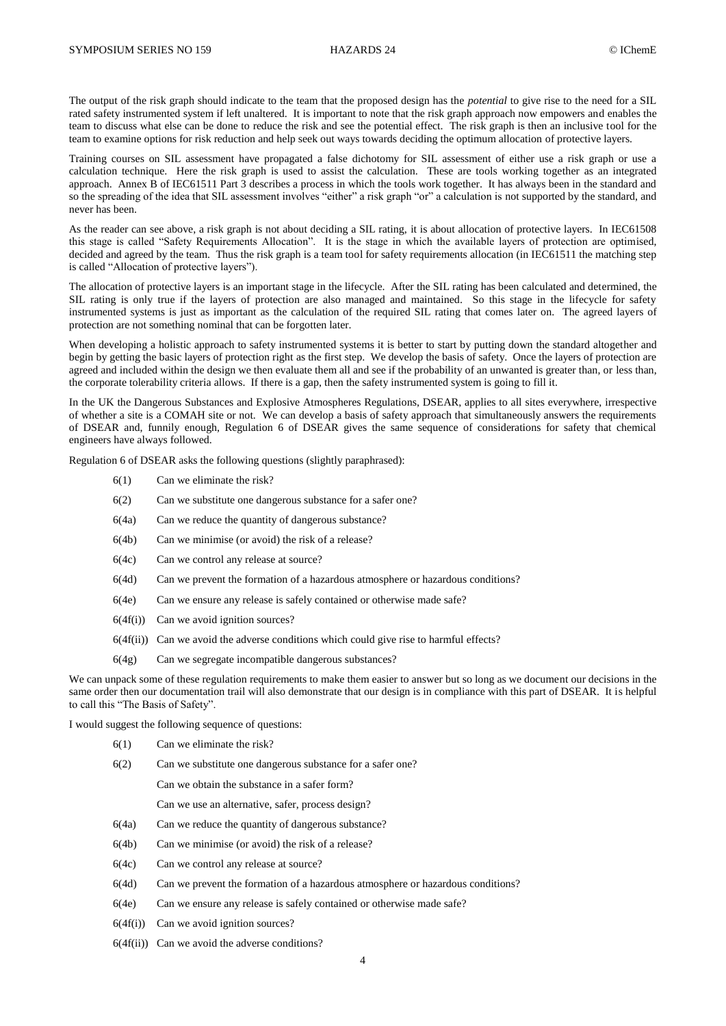The output of the risk graph should indicate to the team that the proposed design has the *potential* to give rise to the need for a SIL rated safety instrumented system if left unaltered. It is important to note that the risk graph approach now empowers and enables the team to discuss what else can be done to reduce the risk and see the potential effect. The risk graph is then an inclusive tool for the team to examine options for risk reduction and help seek out ways towards deciding the optimum allocation of protective layers.

Training courses on SIL assessment have propagated a false dichotomy for SIL assessment of either use a risk graph or use a calculation technique. Here the risk graph is used to assist the calculation. These are tools working together as an integrated approach. Annex B of IEC61511 Part 3 describes a process in which the tools work together. It has always been in the standard and so the spreading of the idea that SIL assessment involves "either" a risk graph "or" a calculation is not supported by the standard, and never has been.

As the reader can see above, a risk graph is not about deciding a SIL rating, it is about allocation of protective layers. In IEC61508 this stage is called "Safety Requirements Allocation". It is the stage in which the available layers of protection are optimised, decided and agreed by the team. Thus the risk graph is a team tool for safety requirements allocation (in IEC61511 the matching step is called "Allocation of protective layers").

The allocation of protective layers is an important stage in the lifecycle. After the SIL rating has been calculated and determined, the SIL rating is only true if the layers of protection are also managed and maintained. So this stage in the lifecycle for safety instrumented systems is just as important as the calculation of the required SIL rating that comes later on. The agreed layers of protection are not something nominal that can be forgotten later.

When developing a holistic approach to safety instrumented systems it is better to start by putting down the standard altogether and begin by getting the basic layers of protection right as the first step. We develop the basis of safety. Once the layers of protection are agreed and included within the design we then evaluate them all and see if the probability of an unwanted is greater than, or less than, the corporate tolerability criteria allows. If there is a gap, then the safety instrumented system is going to fill it.

In the UK the Dangerous Substances and Explosive Atmospheres Regulations, DSEAR, applies to all sites everywhere, irrespective of whether a site is a COMAH site or not. We can develop a basis of safety approach that simultaneously answers the requirements of DSEAR and, funnily enough, Regulation 6 of DSEAR gives the same sequence of considerations for safety that chemical engineers have always followed.

Regulation 6 of DSEAR asks the following questions (slightly paraphrased):

- 6(1) Can we eliminate the risk?
- 6(2) Can we substitute one dangerous substance for a safer one?
- 6(4a) Can we reduce the quantity of dangerous substance?
- 6(4b) Can we minimise (or avoid) the risk of a release?
- 6(4c) Can we control any release at source?
- 6(4d) Can we prevent the formation of a hazardous atmosphere or hazardous conditions?
- 6(4e) Can we ensure any release is safely contained or otherwise made safe?
- $6(4f(i))$  Can we avoid ignition sources?
- $6(4f(ii))$  Can we avoid the adverse conditions which could give rise to harmful effects?
- 6(4g) Can we segregate incompatible dangerous substances?

We can unpack some of these regulation requirements to make them easier to answer but so long as we document our decisions in the same order then our documentation trail will also demonstrate that our design is in compliance with this part of DSEAR. It is helpful to call this "The Basis of Safety".

I would suggest the following sequence of questions:

- 6(1) Can we eliminate the risk?
- 6(2) Can we substitute one dangerous substance for a safer one?
	- Can we obtain the substance in a safer form?
	- Can we use an alternative, safer, process design?
- 6(4a) Can we reduce the quantity of dangerous substance?
- 6(4b) Can we minimise (or avoid) the risk of a release?
- 6(4c) Can we control any release at source?
- 6(4d) Can we prevent the formation of a hazardous atmosphere or hazardous conditions?
- 6(4e) Can we ensure any release is safely contained or otherwise made safe?
- $6(4f(i))$  Can we avoid ignition sources?
- $6(4f(ii))$  Can we avoid the adverse conditions?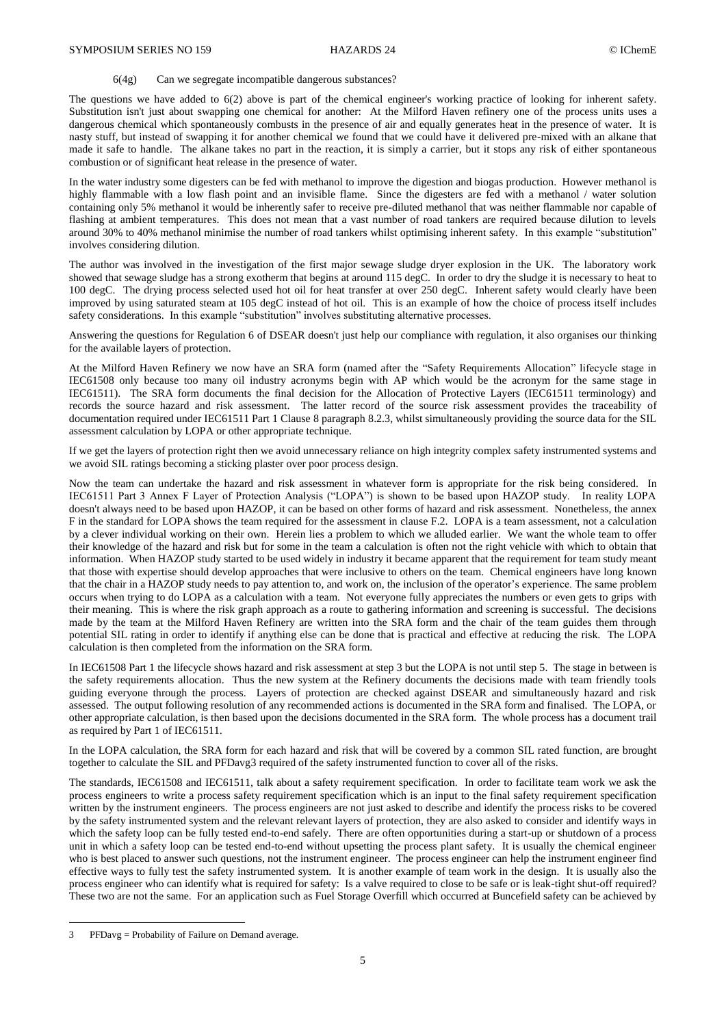## 6(4g) Can we segregate incompatible dangerous substances?

The questions we have added to 6(2) above is part of the chemical engineer's working practice of looking for inherent safety. Substitution isn't just about swapping one chemical for another: At the Milford Haven refinery one of the process units uses a dangerous chemical which spontaneously combusts in the presence of air and equally generates heat in the presence of water. It is nasty stuff, but instead of swapping it for another chemical we found that we could have it delivered pre-mixed with an alkane that made it safe to handle. The alkane takes no part in the reaction, it is simply a carrier, but it stops any risk of either spontaneous combustion or of significant heat release in the presence of water.

In the water industry some digesters can be fed with methanol to improve the digestion and biogas production. However methanol is highly flammable with a low flash point and an invisible flame. Since the digesters are fed with a methanol / water solution containing only 5% methanol it would be inherently safer to receive pre-diluted methanol that was neither flammable nor capable of flashing at ambient temperatures. This does not mean that a vast number of road tankers are required because dilution to levels around 30% to 40% methanol minimise the number of road tankers whilst optimising inherent safety. In this example "substitution" involves considering dilution.

The author was involved in the investigation of the first major sewage sludge dryer explosion in the UK. The laboratory work showed that sewage sludge has a strong exotherm that begins at around 115 degC. In order to dry the sludge it is necessary to heat to 100 degC. The drying process selected used hot oil for heat transfer at over 250 degC. Inherent safety would clearly have been improved by using saturated steam at 105 degC instead of hot oil. This is an example of how the choice of process itself includes safety considerations. In this example "substitution" involves substituting alternative processes.

Answering the questions for Regulation 6 of DSEAR doesn't just help our compliance with regulation, it also organises our thinking for the available layers of protection.

At the Milford Haven Refinery we now have an SRA form (named after the "Safety Requirements Allocation" lifecycle stage in IEC61508 only because too many oil industry acronyms begin with AP which would be the acronym for the same stage in IEC61511). The SRA form documents the final decision for the Allocation of Protective Layers (IEC61511 terminology) and records the source hazard and risk assessment. The latter record of the source risk assessment provides the traceability of documentation required under IEC61511 Part 1 Clause 8 paragraph 8.2.3, whilst simultaneously providing the source data for the SIL assessment calculation by LOPA or other appropriate technique.

If we get the layers of protection right then we avoid unnecessary reliance on high integrity complex safety instrumented systems and we avoid SIL ratings becoming a sticking plaster over poor process design.

Now the team can undertake the hazard and risk assessment in whatever form is appropriate for the risk being considered. In IEC61511 Part 3 Annex F Layer of Protection Analysis ("LOPA") is shown to be based upon HAZOP study. In reality LOPA doesn't always need to be based upon HAZOP, it can be based on other forms of hazard and risk assessment. Nonetheless, the annex F in the standard for LOPA shows the team required for the assessment in clause F.2. LOPA is a team assessment, not a calculation by a clever individual working on their own. Herein lies a problem to which we alluded earlier. We want the whole team to offer their knowledge of the hazard and risk but for some in the team a calculation is often not the right vehicle with which to obtain that information. When HAZOP study started to be used widely in industry it became apparent that the requirement for team study meant that those with expertise should develop approaches that were inclusive to others on the team. Chemical engineers have long known that the chair in a HAZOP study needs to pay attention to, and work on, the inclusion of the operator's experience. The same problem occurs when trying to do LOPA as a calculation with a team. Not everyone fully appreciates the numbers or even gets to grips with their meaning. This is where the risk graph approach as a route to gathering information and screening is successful. The decisions made by the team at the Milford Haven Refinery are written into the SRA form and the chair of the team guides them through potential SIL rating in order to identify if anything else can be done that is practical and effective at reducing the risk. The LOPA calculation is then completed from the information on the SRA form.

In IEC61508 Part 1 the lifecycle shows hazard and risk assessment at step 3 but the LOPA is not until step 5. The stage in between is the safety requirements allocation. Thus the new system at the Refinery documents the decisions made with team friendly tools guiding everyone through the process. Layers of protection are checked against DSEAR and simultaneously hazard and risk assessed. The output following resolution of any recommended actions is documented in the SRA form and finalised. The LOPA, or other appropriate calculation, is then based upon the decisions documented in the SRA form. The whole process has a document trail as required by Part 1 of IEC61511.

In the LOPA calculation, the SRA form for each hazard and risk that will be covered by a common SIL rated function, are brought together to calculate the SIL and PFDavg3 required of the safety instrumented function to cover all of the risks.

The standards, IEC61508 and IEC61511, talk about a safety requirement specification. In order to facilitate team work we ask the process engineers to write a process safety requirement specification which is an input to the final safety requirement specification written by the instrument engineers. The process engineers are not just asked to describe and identify the process risks to be covered by the safety instrumented system and the relevant relevant layers of protection, they are also asked to consider and identify ways in which the safety loop can be fully tested end-to-end safely. There are often opportunities during a start-up or shutdown of a process unit in which a safety loop can be tested end-to-end without upsetting the process plant safety. It is usually the chemical engineer who is best placed to answer such questions, not the instrument engineer. The process engineer can help the instrument engineer find effective ways to fully test the safety instrumented system. It is another example of team work in the design. It is usually also the process engineer who can identify what is required for safety: Is a valve required to close to be safe or is leak-tight shut-off required? These two are not the same. For an application such as Fuel Storage Overfill which occurred at Buncefield safety can be achieved by

 $\overline{a}$ 

<sup>3</sup> PFDavg = Probability of Failure on Demand average.